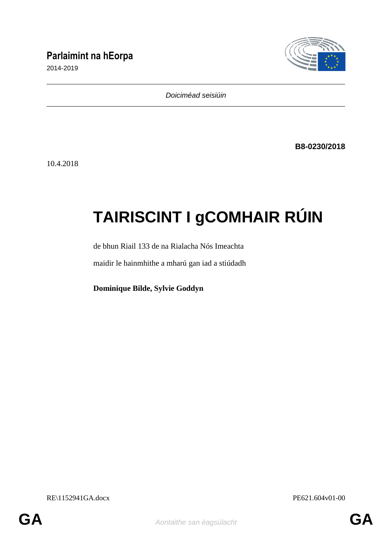# **Parlaimint na hEorpa**

2014-2019



*Doiciméad seisiúin*

**B8-0230/2018**

10.4.2018

# **TAIRISCINT I gCOMHAIR RÚIN**

de bhun Riail 133 de na Rialacha Nós Imeachta

maidir le hainmhithe a mharú gan iad a stiúdadh

**Dominique Bilde, Sylvie Goddyn**

RE\1152941GA.docx PE621.604v01-00